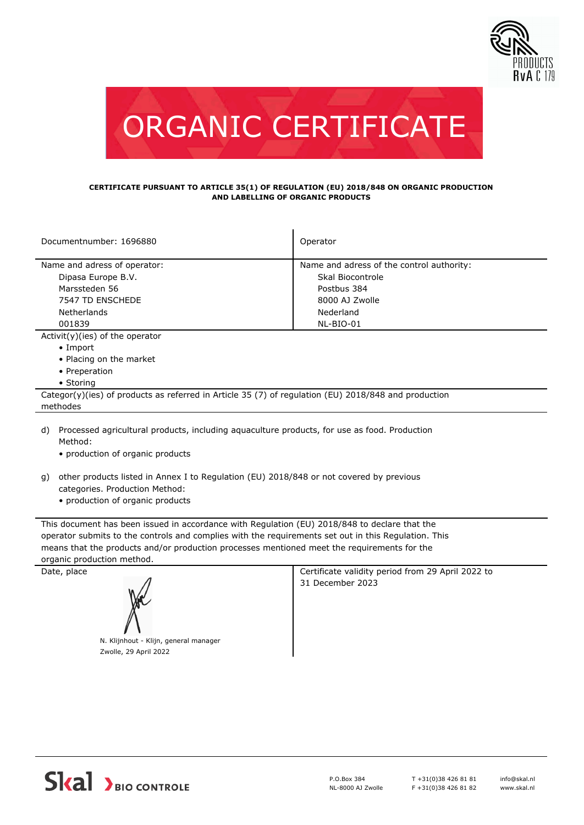



## **CERTIFICATE PURSUANT TO ARTICLE 35(1) OF REGULATION (EU) 2018/848 ON ORGANIC PRODUCTION AND LABELLING OF ORGANIC PRODUCTS**

| Documentnumber: 1696880                                                                              | Operator                                  |  |  |  |
|------------------------------------------------------------------------------------------------------|-------------------------------------------|--|--|--|
| Name and adress of operator:                                                                         | Name and adress of the control authority: |  |  |  |
| Dipasa Europe B.V.                                                                                   | Skal Biocontrole                          |  |  |  |
| Marssteden 56                                                                                        | Postbus 384                               |  |  |  |
| 7547 TD ENSCHEDE                                                                                     | 8000 AJ Zwolle                            |  |  |  |
| Netherlands                                                                                          | Nederland                                 |  |  |  |
| 001839                                                                                               | NL-BIO-01                                 |  |  |  |
| $Activity)(ies)$ of the operator                                                                     |                                           |  |  |  |
| $\bullet$ Import                                                                                     |                                           |  |  |  |
| • Placing on the market                                                                              |                                           |  |  |  |
| • Preperation                                                                                        |                                           |  |  |  |
| • Storing                                                                                            |                                           |  |  |  |
| Categor(y)(ies) of products as referred in Article 35 (7) of regulation (EU) 2018/848 and production |                                           |  |  |  |
| methodes                                                                                             |                                           |  |  |  |
|                                                                                                      |                                           |  |  |  |

- d) Processed agricultural products, including aquaculture products, for use as food. Production Method:
	- production of organic products
- other products listed in Annex I to Regulation (EU) 2018/848 or not covered by previous g) categories. Production Method:
	- production of organic products

This document has been issued in accordance with Regulation (EU) 2018/848 to declare that the operator submits to the controls and complies with the requirements set out in this Regulation. This means that the products and/or production processes mentioned meet the requirements for the organic production method.



Date, place Certificate validity period from 29 April 2022 to 31 December 2023

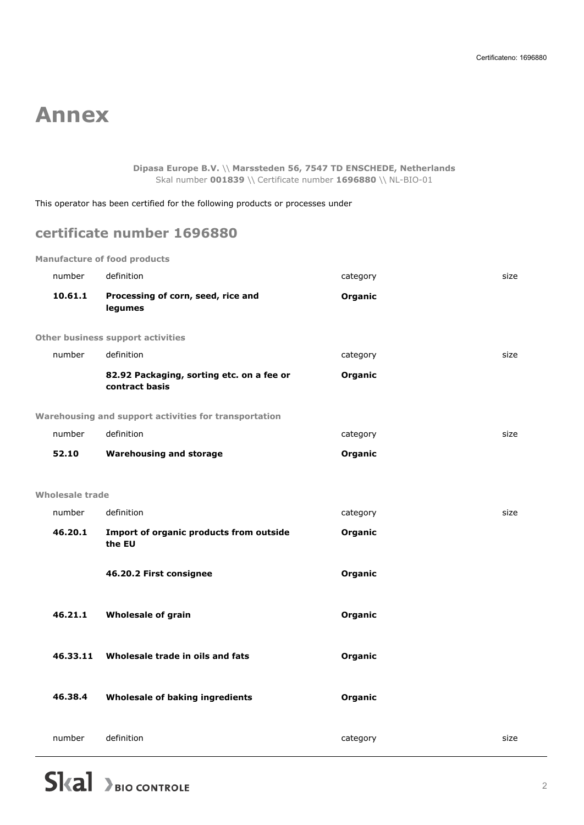## **Annex**

**Dipasa Europe B.V.** \\ **Marssteden 56, 7547 TD ENSCHEDE, Netherlands** Skal number **001839** \\ Certificate number **1696880** \\ NL-BIO-01

This operator has been certified for the following products or processes under

## **certificate number 1696880**

**Manufacture of food products**

| number          | definition                                                  | category | size |
|-----------------|-------------------------------------------------------------|----------|------|
| 10.61.1         | Processing of corn, seed, rice and<br>legumes               | Organic  |      |
|                 | <b>Other business support activities</b>                    |          |      |
| number          | definition                                                  | category | size |
|                 | 82.92 Packaging, sorting etc. on a fee or<br>contract basis | Organic  |      |
|                 | Warehousing and support activities for transportation       |          |      |
| number          | definition                                                  | category | size |
| 52.10           | <b>Warehousing and storage</b>                              | Organic  |      |
|                 |                                                             |          |      |
| Wholesale trade |                                                             |          |      |
| number          | definition                                                  | category | size |
| 46.20.1         | Import of organic products from outside<br>the EU           | Organic  |      |
|                 | 46.20.2 First consignee                                     | Organic  |      |
| 46.21.1         | Wholesale of grain                                          | Organic  |      |
| 46.33.11        | Wholesale trade in oils and fats                            | Organic  |      |
| 46.38.4         | Wholesale of baking ingredients                             | Organic  |      |
| number          | definition                                                  | category | size |
|                 |                                                             |          |      |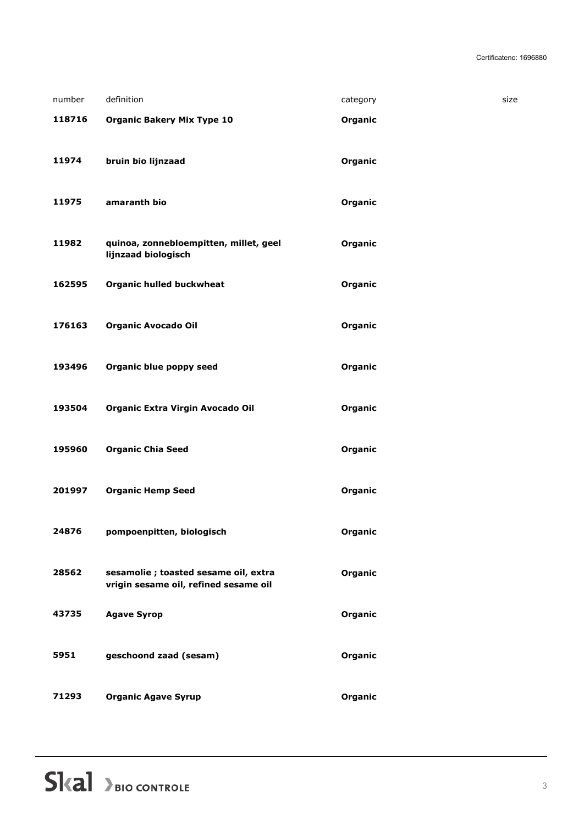| number | definition                             | category | size |
|--------|----------------------------------------|----------|------|
| 118716 | <b>Organic Bakery Mix Type 10</b>      | Organic  |      |
|        |                                        |          |      |
| 11974  | bruin bio lijnzaad                     | Organic  |      |
|        |                                        |          |      |
| 11975  | amaranth bio                           | Organic  |      |
| 11982  | quinoa, zonnebloempitten, millet, geel | Organic  |      |
|        | lijnzaad biologisch                    |          |      |
| 162595 | <b>Organic hulled buckwheat</b>        | Organic  |      |
|        |                                        |          |      |
| 176163 | <b>Organic Avocado Oil</b>             | Organic  |      |
|        |                                        |          |      |
| 193496 | Organic blue poppy seed                | Organic  |      |
| 193504 | Organic Extra Virgin Avocado Oil       | Organic  |      |
|        |                                        |          |      |
| 195960 | <b>Organic Chia Seed</b>               | Organic  |      |
|        |                                        |          |      |
| 201997 | <b>Organic Hemp Seed</b>               | Organic  |      |
| 24876  | pompoenpitten, biologisch              | Organic  |      |
|        |                                        |          |      |
| 28562  | sesamolie ; toasted sesame oil, extra  | Organic  |      |
|        | vrigin sesame oil, refined sesame oil  |          |      |
| 43735  | <b>Agave Syrop</b>                     | Organic  |      |
|        |                                        |          |      |
| 5951   | geschoond zaad (sesam)                 | Organic  |      |
| 71293  | <b>Organic Agave Syrup</b>             | Organic  |      |
|        |                                        |          |      |